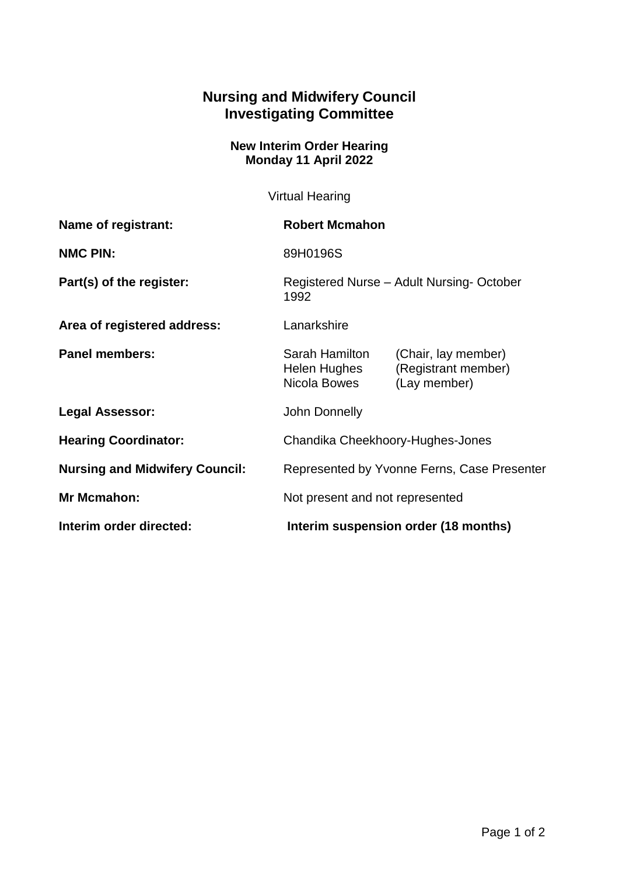## **Nursing and Midwifery Council Investigating Committee**

## **New Interim Order Hearing Monday 11 April 2022**

Virtual Hearing

| Name of registrant:                   | <b>Robert Mcmahon</b>                            |                                                            |
|---------------------------------------|--------------------------------------------------|------------------------------------------------------------|
| <b>NMC PIN:</b>                       | 89H0196S                                         |                                                            |
| Part(s) of the register:              | Registered Nurse - Adult Nursing-October<br>1992 |                                                            |
| Area of registered address:           | Lanarkshire                                      |                                                            |
| <b>Panel members:</b>                 | Sarah Hamilton<br>Helen Hughes<br>Nicola Bowes   | (Chair, lay member)<br>(Registrant member)<br>(Lay member) |
| <b>Legal Assessor:</b>                | John Donnelly                                    |                                                            |
| <b>Hearing Coordinator:</b>           | Chandika Cheekhoory-Hughes-Jones                 |                                                            |
| <b>Nursing and Midwifery Council:</b> | Represented by Yvonne Ferns, Case Presenter      |                                                            |
| <b>Mr Mcmahon:</b>                    | Not present and not represented                  |                                                            |
| Interim order directed:               | Interim suspension order (18 months)             |                                                            |